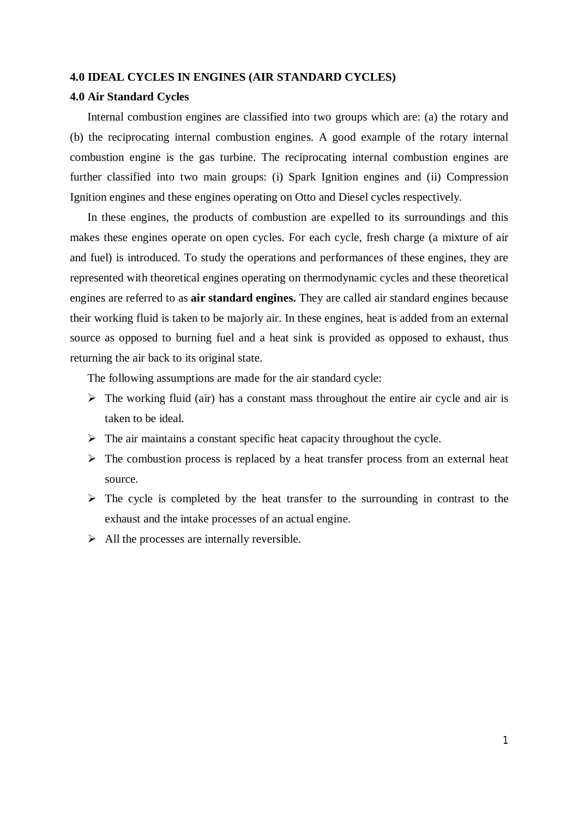#### **4.0 IDEAL CYCLES IN ENGINES (AIR STANDARD CYCLES)**

#### **4.0 Air Standard Cycles**

Internal combustion engines are classified into two groups which are: (a) the rotary and (b) the reciprocating internal combustion engines. A good example of the rotary internal combustion engine is the gas turbine. The reciprocating internal combustion engines are further classified into two main groups: (i) Spark Ignition engines and (ii) Compression Ignition engines and these engines operating on Otto and Diesel cycles respectively.

In these engines, the products of combustion are expelled to its surroundings and this makes these engines operate on open cycles. For each cycle, fresh charge (a mixture of air and fuel) is introduced. To study the operations and performances of these engines, they are represented with theoretical engines operating on thermodynamic cycles and these theoretical engines are referred to as **air standard engines.** They are called air standard engines because their working fluid is taken to be majorly air. In these engines, heat is added from an external source as opposed to burning fuel and a heat sink is provided as opposed to exhaust, thus returning the air back to its original state.

The following assumptions are made for the air standard cycle:

- $\triangleright$  The working fluid (air) has a constant mass throughout the entire air cycle and air is taken to be ideal.
- $\triangleright$  The air maintains a constant specific heat capacity throughout the cycle.
- $\triangleright$  The combustion process is replaced by a heat transfer process from an external heat source.
- $\triangleright$  The cycle is completed by the heat transfer to the surrounding in contrast to the exhaust and the intake processes of an actual engine.
- $\triangleright$  All the processes are internally reversible.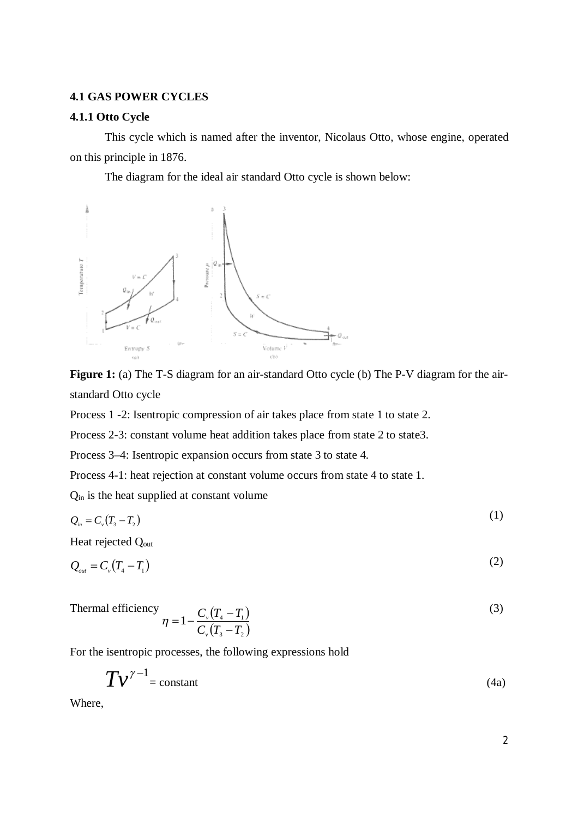## **4.1 GAS POWER CYCLES**

## **4.1.1 Otto Cycle**

This cycle which is named after the inventor, Nicolaus Otto, whose engine, operated on this principle in 1876.

The diagram for the ideal air standard Otto cycle is shown below:



Figure 1: (a) The T-S diagram for an air-standard Otto cycle (b) The P-V diagram for the airstandard Otto cycle

Process 1 -2: Isentropic compression of air takes place from state 1 to state 2.

Process 2-3: constant volume heat addition takes place from state 2 to state3.

Process 3–4: Isentropic expansion occurs from state 3 to state 4.

Process 4-1: heat rejection at constant volume occurs from state 4 to state 1.

Qin is the heat supplied at constant volume

$$
Q_{\scriptscriptstyle in} = C_{\scriptscriptstyle v} (T_3 - T_2) \tag{1}
$$

Heat rejected Qout

$$
Q_{\scriptscriptstyle out} = C_{\scriptscriptstyle v}(T_4 - T_1) \tag{2}
$$

Thermal efficiency

\n
$$
\eta = 1 - \frac{C_v (T_4 - T_1)}{C_v (T_3 - T_2)}
$$
\n(3)

For the isentropic processes, the following expressions hold

$$
T v^{\gamma - 1} = \text{constant} \tag{4a}
$$

Where,

 $(1)$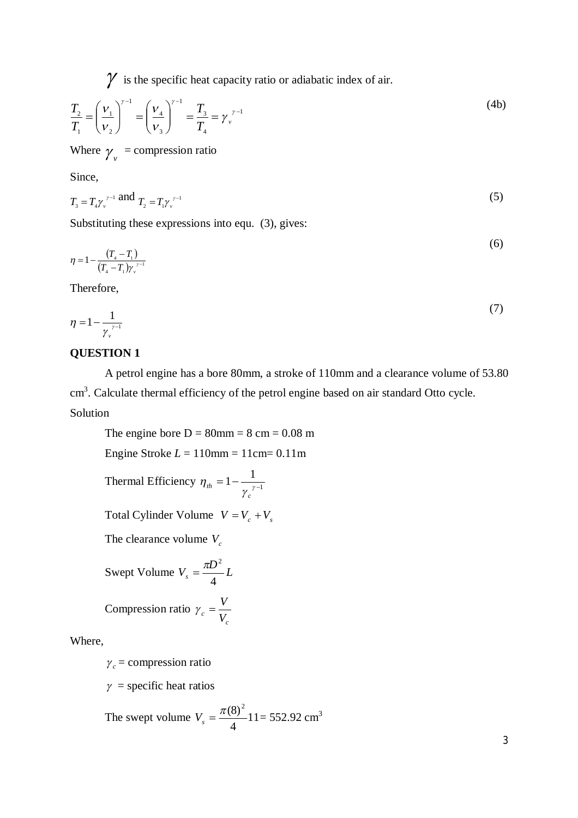$\gamma$  is the specific heat capacity ratio or adiabatic index of air.

$$
\frac{T_2}{T_1} = \left(\frac{V_1}{V_2}\right)^{\gamma - 1} = \left(\frac{V_4}{V_3}\right)^{\gamma - 1} = \frac{T_3}{T_4} = \gamma_v^{\gamma - 1}
$$
\n(4b)

Where  $\gamma_{\nu}$  = compression ratio

Since,

$$
T_{3} = T_{4} \gamma_{v}^{r-1} \text{ and } T_{2} = T_{1} \gamma_{v}^{r-1}
$$
 (5)

Substituting these expressions into equ. (3), gives:

$$
\eta = 1 - \frac{(T_4 - T_1)}{(T_4 - T_1)\gamma_v^{\gamma - 1}}
$$
\n(6)

Therefore,

$$
\eta = 1 - \frac{1}{\gamma_v^{\gamma - 1}}\tag{7}
$$

# **QUESTION 1**

A petrol engine has a bore 80mm, a stroke of 110mm and a clearance volume of 53.80 cm<sup>3</sup>. Calculate thermal efficiency of the petrol engine based on air standard Otto cycle. Solution

The engine bore  $D = 80$ mm =  $8$  cm = 0.08 m Engine Stroke  $L = 110$ mm =  $11$ cm =  $0.11$ m Thermal Efficiency  $\eta_{th} = 1 - \frac{1}{\gamma_c^{\gamma-1}}$ η *c th* Total Cylinder Volume  $V = V_c + V_s$ The clearance volume  $V_c$ Swept Volume  $V_s = \frac{\pi D^2}{4} L$  $=\frac{\pi D^2}{4}$ Compression ratio *c*  $c = V$  $\gamma_c = \frac{V}{\sqrt{2}}$ Where,  $\gamma_c$  = compression ratio

 $\gamma$  = specific heat ratios

The swept volume  $V_s = \frac{\pi (0)}{11}$ 4  $V_s = \frac{\pi (8)^2}{4}$ 11 = 552.92 cm<sup>3</sup>